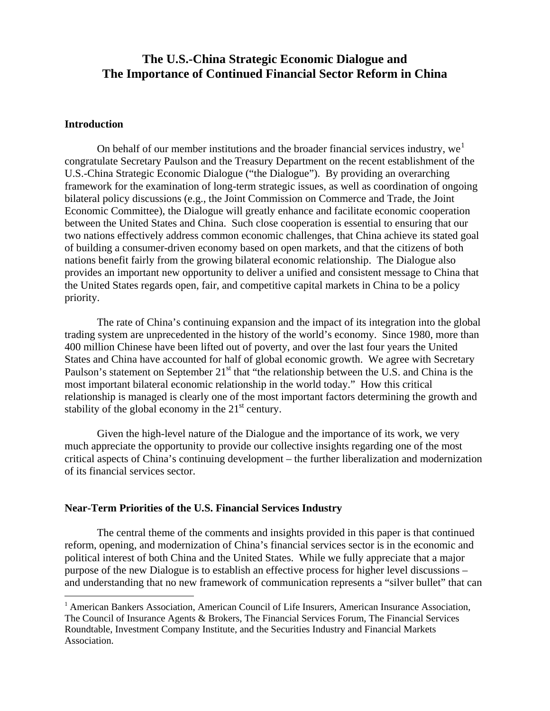# **The U.S.-China Strategic Economic Dialogue and The Importance of Continued Financial Sector Reform in China**

### **Introduction**

 $\overline{a}$ 

On behalf of our member institutions and the broader financial services industry,  $we<sup>1</sup>$  $we<sup>1</sup>$  $we<sup>1</sup>$ congratulate Secretary Paulson and the Treasury Department on the recent establishment of the U.S.-China Strategic Economic Dialogue ("the Dialogue"). By providing an overarching framework for the examination of long-term strategic issues, as well as coordination of ongoing bilateral policy discussions (e.g., the Joint Commission on Commerce and Trade, the Joint Economic Committee), the Dialogue will greatly enhance and facilitate economic cooperation between the United States and China. Such close cooperation is essential to ensuring that our two nations effectively address common economic challenges, that China achieve its stated goal of building a consumer-driven economy based on open markets, and that the citizens of both nations benefit fairly from the growing bilateral economic relationship. The Dialogue also provides an important new opportunity to deliver a unified and consistent message to China that the United States regards open, fair, and competitive capital markets in China to be a policy priority.

The rate of China's continuing expansion and the impact of its integration into the global trading system are unprecedented in the history of the world's economy. Since 1980, more than 400 million Chinese have been lifted out of poverty, and over the last four years the United States and China have accounted for half of global economic growth. We agree with Secretary Paulson's statement on September 21<sup>st</sup> that "the relationship between the U.S. and China is the most important bilateral economic relationship in the world today." How this critical relationship is managed is clearly one of the most important factors determining the growth and stability of the global economy in the  $21<sup>st</sup>$  century.

Given the high-level nature of the Dialogue and the importance of its work, we very much appreciate the opportunity to provide our collective insights regarding one of the most critical aspects of China's continuing development – the further liberalization and modernization of its financial services sector.

#### **Near-Term Priorities of the U.S. Financial Services Industry**

 The central theme of the comments and insights provided in this paper is that continued reform, opening, and modernization of China's financial services sector is in the economic and political interest of both China and the United States. While we fully appreciate that a major purpose of the new Dialogue is to establish an effective process for higher level discussions – and understanding that no new framework of communication represents a "silver bullet" that can

<span id="page-0-0"></span><sup>&</sup>lt;sup>1</sup> American Bankers Association, American Council of Life Insurers, American Insurance Association, The Council of Insurance Agents & Brokers, The Financial Services Forum, The Financial Services Roundtable, Investment Company Institute, and the Securities Industry and Financial Markets Association.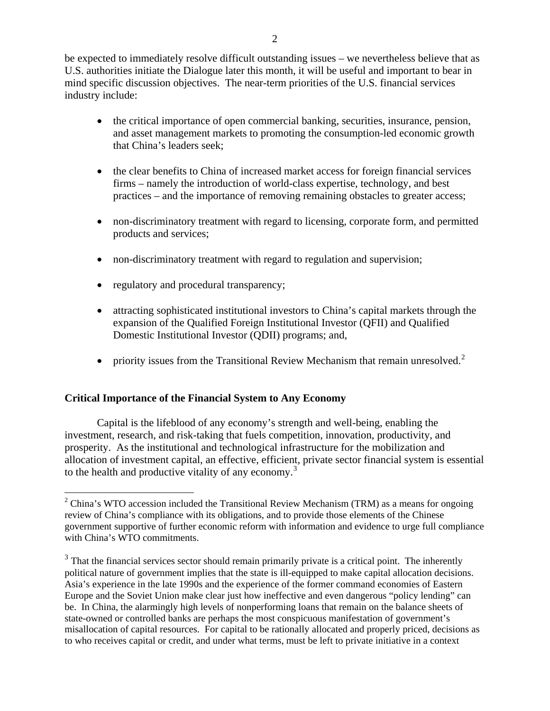be expected to immediately resolve difficult outstanding issues – we nevertheless believe that as U.S. authorities initiate the Dialogue later this month, it will be useful and important to bear in mind specific discussion objectives. The near-term priorities of the U.S. financial services industry include:

- the critical importance of open commercial banking, securities, insurance, pension, and asset management markets to promoting the consumption-led economic growth that China's leaders seek;
- the clear benefits to China of increased market access for foreign financial services firms – namely the introduction of world-class expertise, technology, and best practices – and the importance of removing remaining obstacles to greater access;
- non-discriminatory treatment with regard to licensing, corporate form, and permitted products and services;
- non-discriminatory treatment with regard to regulation and supervision;
- regulatory and procedural transparency;
- attracting sophisticated institutional investors to China's capital markets through the expansion of the Qualified Foreign Institutional Investor (QFII) and Qualified Domestic Institutional Investor (QDII) programs; and,
- priority issues from the Transitional Review Mechanism that remain unresolved.<sup>[2](#page-1-0)</sup>

## **Critical Importance of the Financial System to Any Economy**

 $\overline{a}$ 

 Capital is the lifeblood of any economy's strength and well-being, enabling the investment, research, and risk-taking that fuels competition, innovation, productivity, and prosperity. As the institutional and technological infrastructure for the mobilization and allocation of investment capital, an effective, efficient, private sector financial system is essential to the health and productive vitality of any economy.<sup>[3](#page-1-1)</sup>

<span id="page-1-0"></span> $2^2$  China's WTO accession included the Transitional Review Mechanism (TRM) as a means for ongoing review of China's compliance with its obligations, and to provide those elements of the Chinese government supportive of further economic reform with information and evidence to urge full compliance with China's WTO commitments.

<span id="page-1-1"></span> $3$  That the financial services sector should remain primarily private is a critical point. The inherently political nature of government implies that the state is ill-equipped to make capital allocation decisions. Asia's experience in the late 1990s and the experience of the former command economies of Eastern Europe and the Soviet Union make clear just how ineffective and even dangerous "policy lending" can be. In China, the alarmingly high levels of nonperforming loans that remain on the balance sheets of state-owned or controlled banks are perhaps the most conspicuous manifestation of government's misallocation of capital resources. For capital to be rationally allocated and properly priced, decisions as to who receives capital or credit, and under what terms, must be left to private initiative in a context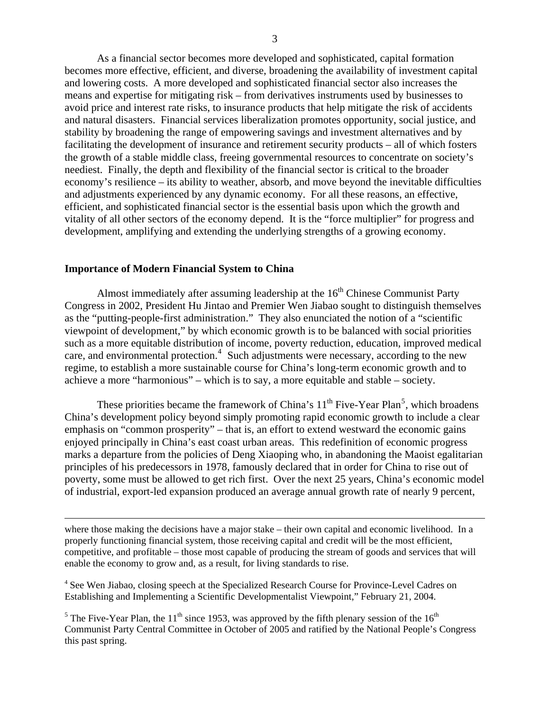As a financial sector becomes more developed and sophisticated, capital formation becomes more effective, efficient, and diverse, broadening the availability of investment capital and lowering costs. A more developed and sophisticated financial sector also increases the means and expertise for mitigating risk – from derivatives instruments used by businesses to avoid price and interest rate risks, to insurance products that help mitigate the risk of accidents and natural disasters. Financial services liberalization promotes opportunity, social justice, and stability by broadening the range of empowering savings and investment alternatives and by facilitating the development of insurance and retirement security products – all of which fosters the growth of a stable middle class, freeing governmental resources to concentrate on society's neediest. Finally, the depth and flexibility of the financial sector is critical to the broader economy's resilience – its ability to weather, absorb, and move beyond the inevitable difficulties and adjustments experienced by any dynamic economy. For all these reasons, an effective, efficient, and sophisticated financial sector is the essential basis upon which the growth and vitality of all other sectors of the economy depend. It is the "force multiplier" for progress and development, amplifying and extending the underlying strengths of a growing economy.

### **Importance of Modern Financial System to China**

 $\overline{a}$ 

Almost immediately after assuming leadership at the  $16<sup>th</sup>$  Chinese Communist Party Congress in 2002, President Hu Jintao and Premier Wen Jiabao sought to distinguish themselves as the "putting-people-first administration." They also enunciated the notion of a "scientific viewpoint of development," by which economic growth is to be balanced with social priorities such as a more equitable distribution of income, poverty reduction, education, improved medical care, and environmental protection.<sup>[4](#page-2-0)</sup> Such adjustments were necessary, according to the new regime, to establish a more sustainable course for China's long-term economic growth and to achieve a more "harmonious" – which is to say, a more equitable and stable – society.

These priorities became the framework of China's  $11<sup>th</sup>$  Five-Year Plan<sup>[5](#page-2-1)</sup>, which broadens China's development policy beyond simply promoting rapid economic growth to include a clear emphasis on "common prosperity" – that is, an effort to extend westward the economic gains enjoyed principally in China's east coast urban areas. This redefinition of economic progress marks a departure from the policies of Deng Xiaoping who, in abandoning the Maoist egalitarian principles of his predecessors in 1978, famously declared that in order for China to rise out of poverty, some must be allowed to get rich first. Over the next 25 years, China's economic model of industrial, export-led expansion produced an average annual growth rate of nearly 9 percent,

where those making the decisions have a major stake – their own capital and economic livelihood. In a properly functioning financial system, those receiving capital and credit will be the most efficient, competitive, and profitable – those most capable of producing the stream of goods and services that will enable the economy to grow and, as a result, for living standards to rise.

<span id="page-2-0"></span><sup>4</sup> See Wen Jiabao, closing speech at the Specialized Research Course for Province-Level Cadres on Establishing and Implementing a Scientific Developmentalist Viewpoint," February 21, 2004.

<span id="page-2-1"></span><sup>5</sup> The Five-Year Plan, the 11<sup>th</sup> since 1953, was approved by the fifth plenary session of the 16<sup>th</sup> Communist Party Central Committee in October of 2005 and ratified by the National People's Congress this past spring.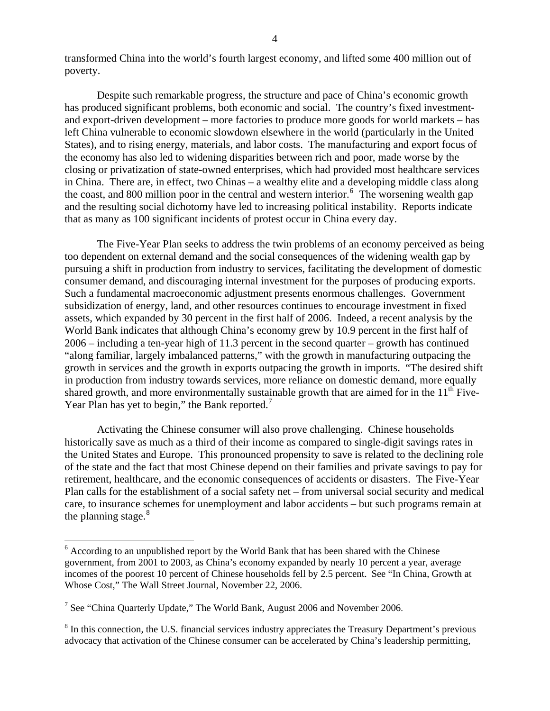transformed China into the world's fourth largest economy, and lifted some 400 million out of poverty.

Despite such remarkable progress, the structure and pace of China's economic growth has produced significant problems, both economic and social. The country's fixed investmentand export-driven development – more factories to produce more goods for world markets – has left China vulnerable to economic slowdown elsewhere in the world (particularly in the United States), and to rising energy, materials, and labor costs. The manufacturing and export focus of the economy has also led to widening disparities between rich and poor, made worse by the closing or privatization of state-owned enterprises, which had provided most healthcare services in China. There are, in effect, two Chinas – a wealthy elite and a developing middle class along the coast, and 800 million poor in the central and western interior. $\frac{6}{10}$  $\frac{6}{10}$  $\frac{6}{10}$  The worsening wealth gap and the resulting social dichotomy have led to increasing political instability. Reports indicate that as many as 100 significant incidents of protest occur in China every day.

The Five-Year Plan seeks to address the twin problems of an economy perceived as being too dependent on external demand and the social consequences of the widening wealth gap by pursuing a shift in production from industry to services, facilitating the development of domestic consumer demand, and discouraging internal investment for the purposes of producing exports. Such a fundamental macroeconomic adjustment presents enormous challenges. Government subsidization of energy, land, and other resources continues to encourage investment in fixed assets, which expanded by 30 percent in the first half of 2006. Indeed, a recent analysis by the World Bank indicates that although China's economy grew by 10.9 percent in the first half of 2006 – including a ten-year high of 11.3 percent in the second quarter – growth has continued "along familiar, largely imbalanced patterns," with the growth in manufacturing outpacing the growth in services and the growth in exports outpacing the growth in imports. "The desired shift in production from industry towards services, more reliance on domestic demand, more equally shared growth, and more environmentally sustainable growth that are aimed for in the  $11<sup>th</sup>$  Five-Year Plan has yet to begin," the Bank reported. $<sup>7</sup>$  $<sup>7</sup>$  $<sup>7</sup>$ </sup>

Activating the Chinese consumer will also prove challenging. Chinese households historically save as much as a third of their income as compared to single-digit savings rates in the United States and Europe. This pronounced propensity to save is related to the declining role of the state and the fact that most Chinese depend on their families and private savings to pay for retirement, healthcare, and the economic consequences of accidents or disasters. The Five-Year Plan calls for the establishment of a social safety net – from universal social security and medical care, to insurance schemes for unemployment and labor accidents – but such programs remain at the planning stage. $8$ 

 $\overline{a}$ 

<span id="page-3-0"></span> $6$  According to an unpublished report by the World Bank that has been shared with the Chinese government, from 2001 to 2003, as China's economy expanded by nearly 10 percent a year, average incomes of the poorest 10 percent of Chinese households fell by 2.5 percent. See "In China, Growth at Whose Cost," The Wall Street Journal, November 22, 2006.

<span id="page-3-1"></span><sup>&</sup>lt;sup>7</sup> See "China Quarterly Update," The World Bank, August 2006 and November 2006.

<span id="page-3-2"></span> $8$  In this connection, the U.S. financial services industry appreciates the Treasury Department's previous advocacy that activation of the Chinese consumer can be accelerated by China's leadership permitting,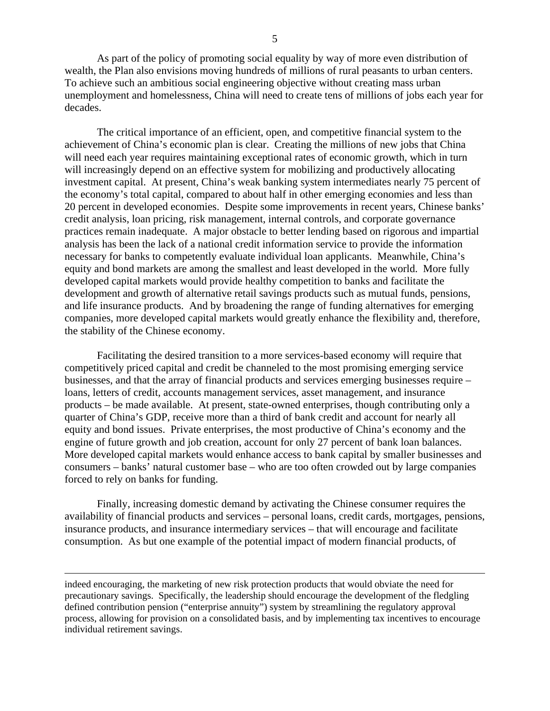As part of the policy of promoting social equality by way of more even distribution of wealth, the Plan also envisions moving hundreds of millions of rural peasants to urban centers. To achieve such an ambitious social engineering objective without creating mass urban unemployment and homelessness, China will need to create tens of millions of jobs each year for decades.

The critical importance of an efficient, open, and competitive financial system to the achievement of China's economic plan is clear. Creating the millions of new jobs that China will need each year requires maintaining exceptional rates of economic growth, which in turn will increasingly depend on an effective system for mobilizing and productively allocating investment capital. At present, China's weak banking system intermediates nearly 75 percent of the economy's total capital, compared to about half in other emerging economies and less than 20 percent in developed economies. Despite some improvements in recent years, Chinese banks' credit analysis, loan pricing, risk management, internal controls, and corporate governance practices remain inadequate. A major obstacle to better lending based on rigorous and impartial analysis has been the lack of a national credit information service to provide the information necessary for banks to competently evaluate individual loan applicants. Meanwhile, China's equity and bond markets are among the smallest and least developed in the world. More fully developed capital markets would provide healthy competition to banks and facilitate the development and growth of alternative retail savings products such as mutual funds, pensions, and life insurance products. And by broadening the range of funding alternatives for emerging companies, more developed capital markets would greatly enhance the flexibility and, therefore, the stability of the Chinese economy.

Facilitating the desired transition to a more services-based economy will require that competitively priced capital and credit be channeled to the most promising emerging service businesses, and that the array of financial products and services emerging businesses require – loans, letters of credit, accounts management services, asset management, and insurance products – be made available. At present, state-owned enterprises, though contributing only a quarter of China's GDP, receive more than a third of bank credit and account for nearly all equity and bond issues. Private enterprises, the most productive of China's economy and the engine of future growth and job creation, account for only 27 percent of bank loan balances. More developed capital markets would enhance access to bank capital by smaller businesses and consumers – banks' natural customer base – who are too often crowded out by large companies forced to rely on banks for funding.

Finally, increasing domestic demand by activating the Chinese consumer requires the availability of financial products and services – personal loans, credit cards, mortgages, pensions, insurance products, and insurance intermediary services – that will encourage and facilitate consumption. As but one example of the potential impact of modern financial products, of

indeed encouraging, the marketing of new risk protection products that would obviate the need for precautionary savings. Specifically, the leadership should encourage the development of the fledgling defined contribution pension ("enterprise annuity") system by streamlining the regulatory approval process, allowing for provision on a consolidated basis, and by implementing tax incentives to encourage individual retirement savings.

 $\overline{a}$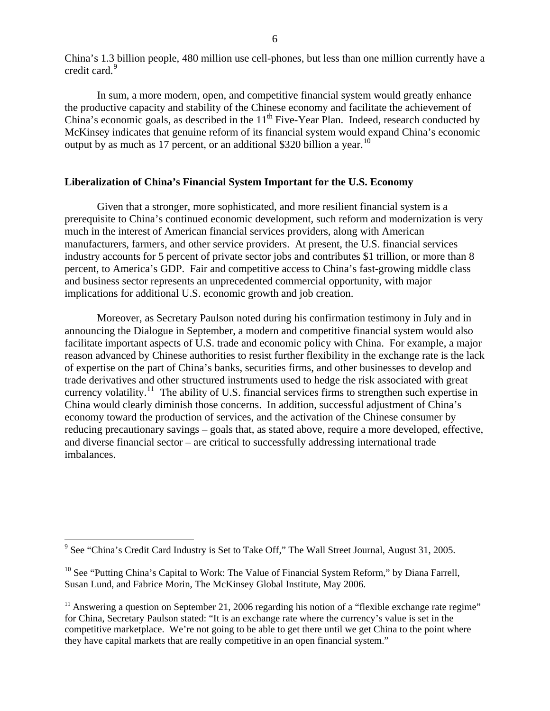China's 1.3 billion people, 480 million use cell-phones, but less than one million currently have a credit card.<sup>[9](#page-5-0)</sup>

In sum, a more modern, open, and competitive financial system would greatly enhance the productive capacity and stability of the Chinese economy and facilitate the achievement of China's economic goals, as described in the  $11<sup>th</sup>$  Five-Year Plan. Indeed, research conducted by McKinsey indicates that genuine reform of its financial system would expand China's economic output by as much as 17 percent, or an additional \$320 billion a year.<sup>[10](#page-5-1)</sup>

### **Liberalization of China's Financial System Important for the U.S. Economy**

Given that a stronger, more sophisticated, and more resilient financial system is a prerequisite to China's continued economic development, such reform and modernization is very much in the interest of American financial services providers, along with American manufacturers, farmers, and other service providers. At present, the U.S. financial services industry accounts for 5 percent of private sector jobs and contributes \$1 trillion, or more than 8 percent, to America's GDP. Fair and competitive access to China's fast-growing middle class and business sector represents an unprecedented commercial opportunity, with major implications for additional U.S. economic growth and job creation.

Moreover, as Secretary Paulson noted during his confirmation testimony in July and in announcing the Dialogue in September, a modern and competitive financial system would also facilitate important aspects of U.S. trade and economic policy with China. For example, a major reason advanced by Chinese authorities to resist further flexibility in the exchange rate is the lack of expertise on the part of China's banks, securities firms, and other businesses to develop and trade derivatives and other structured instruments used to hedge the risk associated with great currency volatility.<sup>[11](#page-5-2)</sup> The ability of U.S. financial services firms to strengthen such expertise in China would clearly diminish those concerns. In addition, successful adjustment of China's economy toward the production of services, and the activation of the Chinese consumer by reducing precautionary savings – goals that, as stated above, require a more developed, effective, and diverse financial sector – are critical to successfully addressing international trade imbalances.

<span id="page-5-0"></span><sup>&</sup>lt;sup>9</sup> See "China's Credit Card Industry is Set to Take Off," The Wall Street Journal, August 31, 2005.

<span id="page-5-1"></span> $10$  See "Putting China's Capital to Work: The Value of Financial System Reform," by Diana Farrell, Susan Lund, and Fabrice Morin, The McKinsey Global Institute, May 2006.

<span id="page-5-2"></span> $11$  Answering a question on September 21, 2006 regarding his notion of a "flexible exchange rate regime" for China, Secretary Paulson stated: "It is an exchange rate where the currency's value is set in the competitive marketplace. We're not going to be able to get there until we get China to the point where they have capital markets that are really competitive in an open financial system."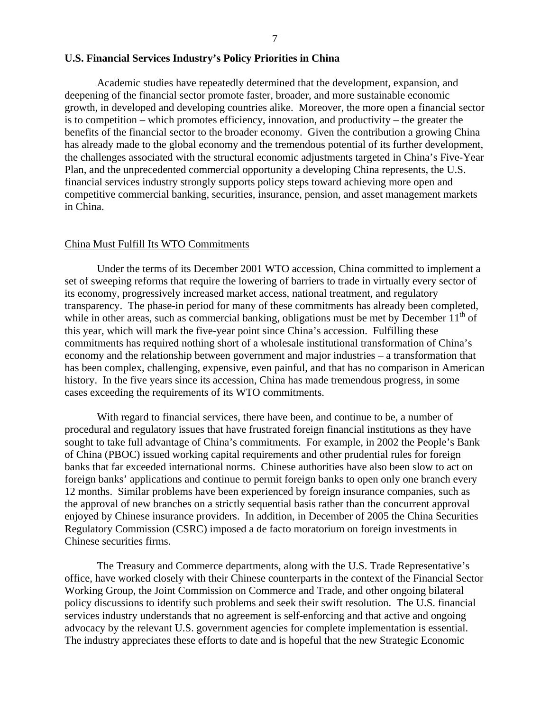### **U.S. Financial Services Industry's Policy Priorities in China**

 Academic studies have repeatedly determined that the development, expansion, and deepening of the financial sector promote faster, broader, and more sustainable economic growth, in developed and developing countries alike. Moreover, the more open a financial sector is to competition – which promotes efficiency, innovation, and productivity – the greater the benefits of the financial sector to the broader economy. Given the contribution a growing China has already made to the global economy and the tremendous potential of its further development, the challenges associated with the structural economic adjustments targeted in China's Five-Year Plan, and the unprecedented commercial opportunity a developing China represents, the U.S. financial services industry strongly supports policy steps toward achieving more open and competitive commercial banking, securities, insurance, pension, and asset management markets in China.

#### China Must Fulfill Its WTO Commitments

Under the terms of its December 2001 WTO accession, China committed to implement a set of sweeping reforms that require the lowering of barriers to trade in virtually every sector of its economy, progressively increased market access, national treatment, and regulatory transparency. The phase-in period for many of these commitments has already been completed, while in other areas, such as commercial banking, obligations must be met by December  $11<sup>th</sup>$  of this year, which will mark the five-year point since China's accession. Fulfilling these commitments has required nothing short of a wholesale institutional transformation of China's economy and the relationship between government and major industries – a transformation that has been complex, challenging, expensive, even painful, and that has no comparison in American history. In the five years since its accession, China has made tremendous progress, in some cases exceeding the requirements of its WTO commitments.

With regard to financial services, there have been, and continue to be, a number of procedural and regulatory issues that have frustrated foreign financial institutions as they have sought to take full advantage of China's commitments. For example, in 2002 the People's Bank of China (PBOC) issued working capital requirements and other prudential rules for foreign banks that far exceeded international norms. Chinese authorities have also been slow to act on foreign banks' applications and continue to permit foreign banks to open only one branch every 12 months. Similar problems have been experienced by foreign insurance companies, such as the approval of new branches on a strictly sequential basis rather than the concurrent approval enjoyed by Chinese insurance providers. In addition, in December of 2005 the China Securities Regulatory Commission (CSRC) imposed a de facto moratorium on foreign investments in Chinese securities firms.

The Treasury and Commerce departments, along with the U.S. Trade Representative's office, have worked closely with their Chinese counterparts in the context of the Financial Sector Working Group, the Joint Commission on Commerce and Trade, and other ongoing bilateral policy discussions to identify such problems and seek their swift resolution. The U.S. financial services industry understands that no agreement is self-enforcing and that active and ongoing advocacy by the relevant U.S. government agencies for complete implementation is essential. The industry appreciates these efforts to date and is hopeful that the new Strategic Economic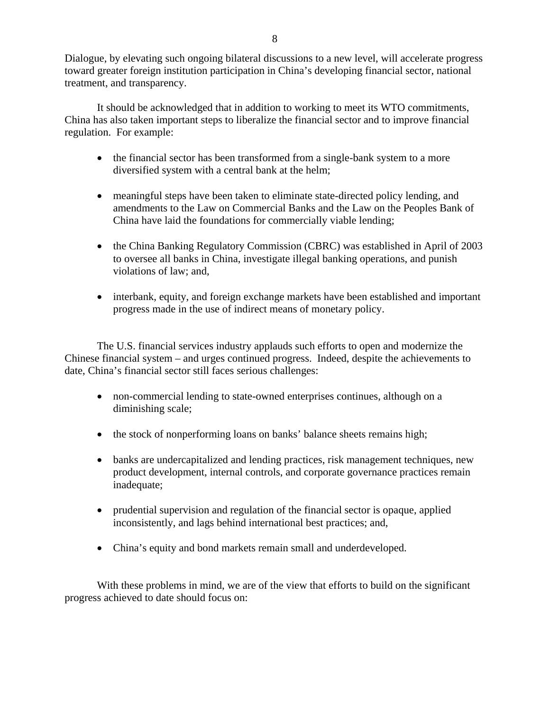It should be acknowledged that in addition to working to meet its WTO commitments, China has also taken important steps to liberalize the financial sector and to improve financial regulation. For example:

treatment, and transparency.

- the financial sector has been transformed from a single-bank system to a more diversified system with a central bank at the helm;
- meaningful steps have been taken to eliminate state-directed policy lending, and amendments to the Law on Commercial Banks and the Law on the Peoples Bank of China have laid the foundations for commercially viable lending;
- the China Banking Regulatory Commission (CBRC) was established in April of 2003 to oversee all banks in China, investigate illegal banking operations, and punish violations of law; and,
- interbank, equity, and foreign exchange markets have been established and important progress made in the use of indirect means of monetary policy.

The U.S. financial services industry applauds such efforts to open and modernize the Chinese financial system – and urges continued progress. Indeed, despite the achievements to date, China's financial sector still faces serious challenges:

- non-commercial lending to state-owned enterprises continues, although on a diminishing scale;
- the stock of nonperforming loans on banks' balance sheets remains high;
- banks are undercapitalized and lending practices, risk management techniques, new product development, internal controls, and corporate governance practices remain inadequate;
- prudential supervision and regulation of the financial sector is opaque, applied inconsistently, and lags behind international best practices; and,
- China's equity and bond markets remain small and underdeveloped.

With these problems in mind, we are of the view that efforts to build on the significant progress achieved to date should focus on: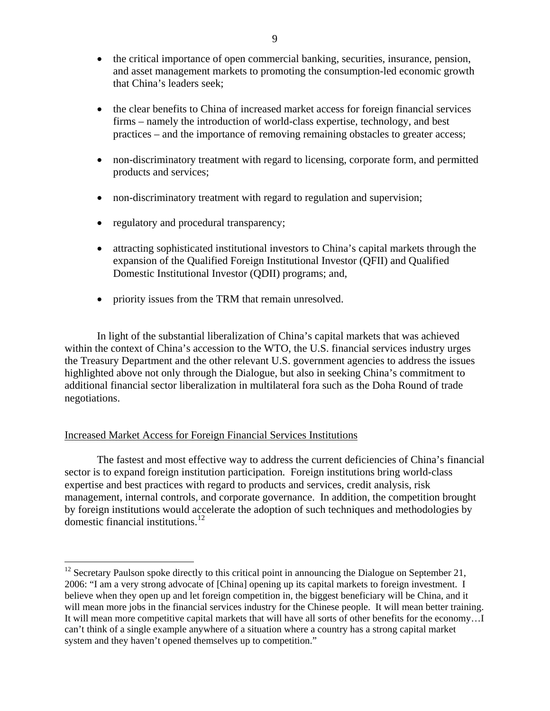- the critical importance of open commercial banking, securities, insurance, pension, and asset management markets to promoting the consumption-led economic growth that China's leaders seek;
- the clear benefits to China of increased market access for foreign financial services firms – namely the introduction of world-class expertise, technology, and best practices – and the importance of removing remaining obstacles to greater access;
- non-discriminatory treatment with regard to licensing, corporate form, and permitted products and services;
- non-discriminatory treatment with regard to regulation and supervision;
- regulatory and procedural transparency;
- attracting sophisticated institutional investors to China's capital markets through the expansion of the Qualified Foreign Institutional Investor (QFII) and Qualified Domestic Institutional Investor (QDII) programs; and,
- priority issues from the TRM that remain unresolved.

In light of the substantial liberalization of China's capital markets that was achieved within the context of China's accession to the WTO, the U.S. financial services industry urges the Treasury Department and the other relevant U.S. government agencies to address the issues highlighted above not only through the Dialogue, but also in seeking China's commitment to additional financial sector liberalization in multilateral fora such as the Doha Round of trade negotiations.

### Increased Market Access for Foreign Financial Services Institutions

 $\overline{a}$ 

The fastest and most effective way to address the current deficiencies of China's financial sector is to expand foreign institution participation. Foreign institutions bring world-class expertise and best practices with regard to products and services, credit analysis, risk management, internal controls, and corporate governance. In addition, the competition brought by foreign institutions would accelerate the adoption of such techniques and methodologies by domestic financial institutions.[12](#page-8-0)

<span id="page-8-0"></span> $12$  Secretary Paulson spoke directly to this critical point in announcing the Dialogue on September 21, 2006: "I am a very strong advocate of [China] opening up its capital markets to foreign investment. I believe when they open up and let foreign competition in, the biggest beneficiary will be China, and it will mean more jobs in the financial services industry for the Chinese people. It will mean better training. It will mean more competitive capital markets that will have all sorts of other benefits for the economy…I can't think of a single example anywhere of a situation where a country has a strong capital market system and they haven't opened themselves up to competition."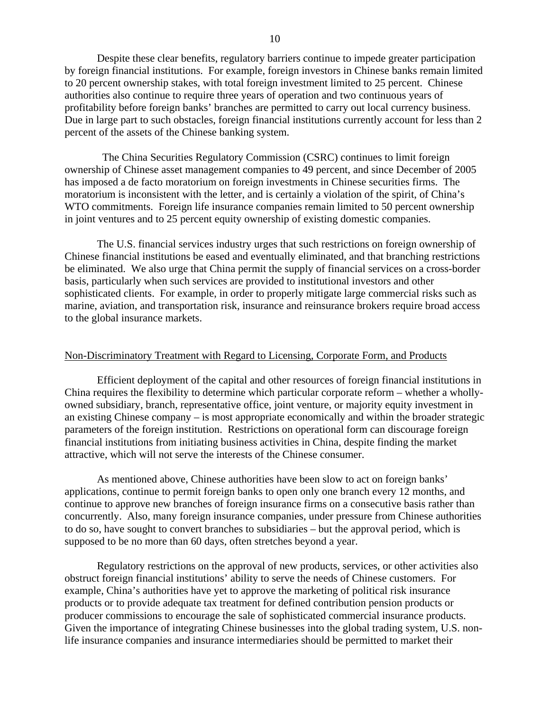Despite these clear benefits, regulatory barriers continue to impede greater participation by foreign financial institutions. For example, foreign investors in Chinese banks remain limited to 20 percent ownership stakes, with total foreign investment limited to 25 percent. Chinese authorities also continue to require three years of operation and two continuous years of profitability before foreign banks' branches are permitted to carry out local currency business. Due in large part to such obstacles, foreign financial institutions currently account for less than 2 percent of the assets of the Chinese banking system.

 The China Securities Regulatory Commission (CSRC) continues to limit foreign ownership of Chinese asset management companies to 49 percent, and since December of 2005 has imposed a de facto moratorium on foreign investments in Chinese securities firms. The moratorium is inconsistent with the letter, and is certainly a violation of the spirit, of China's WTO commitments. Foreign life insurance companies remain limited to 50 percent ownership in joint ventures and to 25 percent equity ownership of existing domestic companies.

The U.S. financial services industry urges that such restrictions on foreign ownership of Chinese financial institutions be eased and eventually eliminated, and that branching restrictions be eliminated. We also urge that China permit the supply of financial services on a cross-border basis, particularly when such services are provided to institutional investors and other sophisticated clients. For example, in order to properly mitigate large commercial risks such as marine, aviation, and transportation risk, insurance and reinsurance brokers require broad access to the global insurance markets.

### Non-Discriminatory Treatment with Regard to Licensing, Corporate Form, and Products

 Efficient deployment of the capital and other resources of foreign financial institutions in China requires the flexibility to determine which particular corporate reform – whether a whollyowned subsidiary, branch, representative office, joint venture, or majority equity investment in an existing Chinese company – is most appropriate economically and within the broader strategic parameters of the foreign institution. Restrictions on operational form can discourage foreign financial institutions from initiating business activities in China, despite finding the market attractive, which will not serve the interests of the Chinese consumer.

As mentioned above, Chinese authorities have been slow to act on foreign banks' applications, continue to permit foreign banks to open only one branch every 12 months, and continue to approve new branches of foreign insurance firms on a consecutive basis rather than concurrently. Also, many foreign insurance companies, under pressure from Chinese authorities to do so, have sought to convert branches to subsidiaries – but the approval period, which is supposed to be no more than 60 days, often stretches beyond a year.

Regulatory restrictions on the approval of new products, services, or other activities also obstruct foreign financial institutions' ability to serve the needs of Chinese customers. For example, China's authorities have yet to approve the marketing of political risk insurance products or to provide adequate tax treatment for defined contribution pension products or producer commissions to encourage the sale of sophisticated commercial insurance products. Given the importance of integrating Chinese businesses into the global trading system, U.S. nonlife insurance companies and insurance intermediaries should be permitted to market their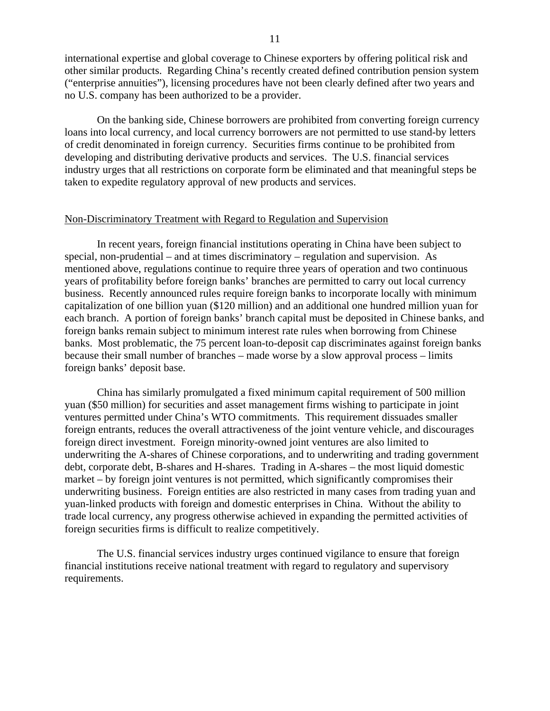international expertise and global coverage to Chinese exporters by offering political risk and other similar products. Regarding China's recently created defined contribution pension system ("enterprise annuities"), licensing procedures have not been clearly defined after two years and no U.S. company has been authorized to be a provider.

On the banking side, Chinese borrowers are prohibited from converting foreign currency loans into local currency, and local currency borrowers are not permitted to use stand-by letters of credit denominated in foreign currency. Securities firms continue to be prohibited from developing and distributing derivative products and services. The U.S. financial services industry urges that all restrictions on corporate form be eliminated and that meaningful steps be taken to expedite regulatory approval of new products and services.

### Non-Discriminatory Treatment with Regard to Regulation and Supervision

 In recent years, foreign financial institutions operating in China have been subject to special, non-prudential – and at times discriminatory – regulation and supervision. As mentioned above, regulations continue to require three years of operation and two continuous years of profitability before foreign banks' branches are permitted to carry out local currency business. Recently announced rules require foreign banks to incorporate locally with minimum capitalization of one billion yuan (\$120 million) and an additional one hundred million yuan for each branch. A portion of foreign banks' branch capital must be deposited in Chinese banks, and foreign banks remain subject to minimum interest rate rules when borrowing from Chinese banks. Most problematic, the 75 percent loan-to-deposit cap discriminates against foreign banks because their small number of branches – made worse by a slow approval process – limits foreign banks' deposit base.

China has similarly promulgated a fixed minimum capital requirement of 500 million yuan (\$50 million) for securities and asset management firms wishing to participate in joint ventures permitted under China's WTO commitments. This requirement dissuades smaller foreign entrants, reduces the overall attractiveness of the joint venture vehicle, and discourages foreign direct investment. Foreign minority-owned joint ventures are also limited to underwriting the A-shares of Chinese corporations, and to underwriting and trading government debt, corporate debt, B-shares and H-shares. Trading in A-shares – the most liquid domestic market – by foreign joint ventures is not permitted, which significantly compromises their underwriting business. Foreign entities are also restricted in many cases from trading yuan and yuan-linked products with foreign and domestic enterprises in China. Without the ability to trade local currency, any progress otherwise achieved in expanding the permitted activities of foreign securities firms is difficult to realize competitively.

 The U.S. financial services industry urges continued vigilance to ensure that foreign financial institutions receive national treatment with regard to regulatory and supervisory requirements.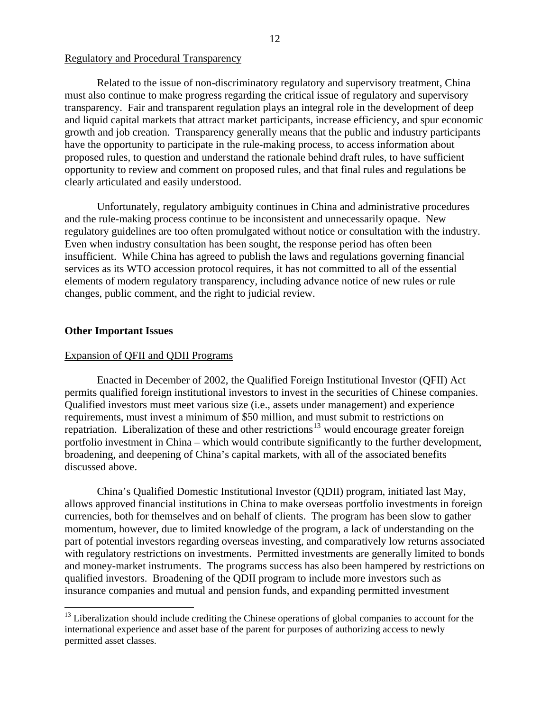Regulatory and Procedural Transparency

Related to the issue of non-discriminatory regulatory and supervisory treatment, China must also continue to make progress regarding the critical issue of regulatory and supervisory transparency. Fair and transparent regulation plays an integral role in the development of deep and liquid capital markets that attract market participants, increase efficiency, and spur economic growth and job creation. Transparency generally means that the public and industry participants have the opportunity to participate in the rule-making process, to access information about proposed rules, to question and understand the rationale behind draft rules, to have sufficient opportunity to review and comment on proposed rules, and that final rules and regulations be clearly articulated and easily understood.

Unfortunately, regulatory ambiguity continues in China and administrative procedures and the rule-making process continue to be inconsistent and unnecessarily opaque. New regulatory guidelines are too often promulgated without notice or consultation with the industry. Even when industry consultation has been sought, the response period has often been insufficient. While China has agreed to publish the laws and regulations governing financial services as its WTO accession protocol requires, it has not committed to all of the essential elements of modern regulatory transparency, including advance notice of new rules or rule changes, public comment, and the right to judicial review.

### **Other Important Issues**

 $\overline{a}$ 

### Expansion of QFII and QDII Programs

Enacted in December of 2002, the Qualified Foreign Institutional Investor (QFII) Act permits qualified foreign institutional investors to invest in the securities of Chinese companies. Qualified investors must meet various size (i.e., assets under management) and experience requirements, must invest a minimum of \$50 million, and must submit to restrictions on repatriation. Liberalization of these and other restrictions<sup>[13](#page-11-0)</sup> would encourage greater foreign portfolio investment in China – which would contribute significantly to the further development, broadening, and deepening of China's capital markets, with all of the associated benefits discussed above.

 China's Qualified Domestic Institutional Investor (QDII) program, initiated last May, allows approved financial institutions in China to make overseas portfolio investments in foreign currencies, both for themselves and on behalf of clients. The program has been slow to gather momentum, however, due to limited knowledge of the program, a lack of understanding on the part of potential investors regarding overseas investing, and comparatively low returns associated with regulatory restrictions on investments. Permitted investments are generally limited to bonds and money-market instruments. The programs success has also been hampered by restrictions on qualified investors. Broadening of the QDII program to include more investors such as insurance companies and mutual and pension funds, and expanding permitted investment

<span id="page-11-0"></span> $13$  Liberalization should include crediting the Chinese operations of global companies to account for the international experience and asset base of the parent for purposes of authorizing access to newly permitted asset classes.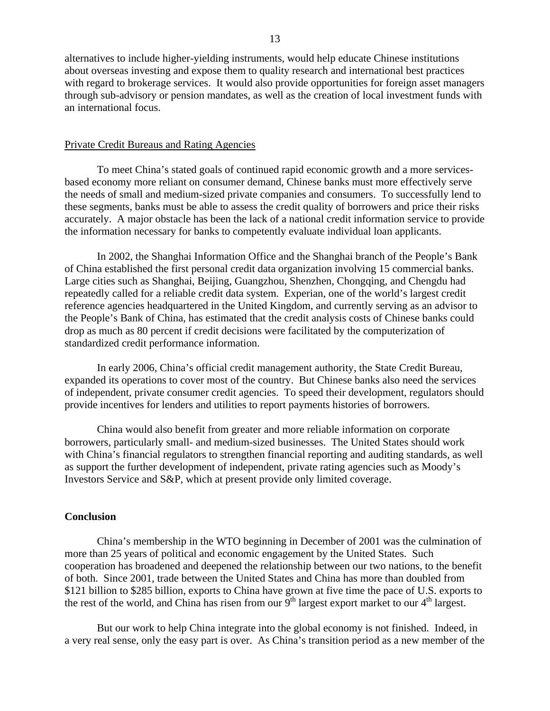alternatives to include higher-yielding instruments, would help educate Chinese institutions about overseas investing and expose them to quality research and international best practices with regard to brokerage services. It would also provide opportunities for foreign asset managers through sub-advisory or pension mandates, as well as the creation of local investment funds with an international focus.

### Private Credit Bureaus and Rating Agencies

 To meet China's stated goals of continued rapid economic growth and a more servicesbased economy more reliant on consumer demand, Chinese banks must more effectively serve the needs of small and medium-sized private companies and consumers. To successfully lend to these segments, banks must be able to assess the credit quality of borrowers and price their risks accurately. A major obstacle has been the lack of a national credit information service to provide the information necessary for banks to competently evaluate individual loan applicants.

In 2002, the Shanghai Information Office and the Shanghai branch of the People's Bank of China established the first personal credit data organization involving 15 commercial banks. Large cities such as Shanghai, Beijing, Guangzhou, Shenzhen, Chongqing, and Chengdu had repeatedly called for a reliable credit data system. Experian, one of the world's largest credit reference agencies headquartered in the United Kingdom, and currently serving as an advisor to the People's Bank of China, has estimated that the credit analysis costs of Chinese banks could drop as much as 80 percent if credit decisions were facilitated by the computerization of standardized credit performance information.

In early 2006, China's official credit management authority, the State Credit Bureau, expanded its operations to cover most of the country. But Chinese banks also need the services of independent, private consumer credit agencies. To speed their development, regulators should provide incentives for lenders and utilities to report payments histories of borrowers.

China would also benefit from greater and more reliable information on corporate borrowers, particularly small- and medium-sized businesses. The United States should work with China's financial regulators to strengthen financial reporting and auditing standards, as well as support the further development of independent, private rating agencies such as Moody's Investors Service and S&P, which at present provide only limited coverage.

### **Conclusion**

China's membership in the WTO beginning in December of 2001 was the culmination of more than 25 years of political and economic engagement by the United States. Such cooperation has broadened and deepened the relationship between our two nations, to the benefit of both. Since 2001, trade between the United States and China has more than doubled from \$121 billion to \$285 billion, exports to China have grown at five time the pace of U.S. exports to the rest of the world, and China has risen from our  $\tilde{9}^{th}$  largest export market to our  $4^{th}$  largest.

But our work to help China integrate into the global economy is not finished. Indeed, in a very real sense, only the easy part is over. As China's transition period as a new member of the